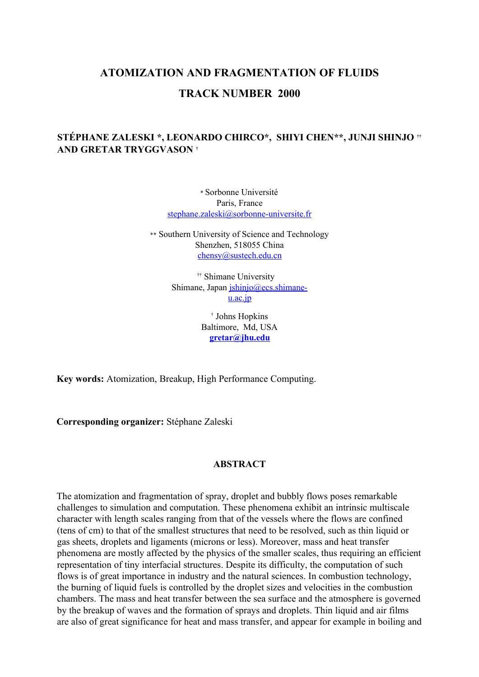## **ATOMIZATION AND FRAGMENTATION OF FLUIDS TRACK NUMBER 2000**

## **STÉPHANE ZALESKI \*, LEONARDO CHIRCO\*, SHIYI CHEN\*\*, JUNJI SHINJO †† AND GRETAR TRYGGVASON †**

\* Sorbonne Université Paris, France stephane.zaleski@sorbonne-universite.fr

\*\* Southern University of Science and Technology Shenzhen, 518055 China chensy@sustech.edu.cn

> †† Shimane University Shimane, Japan jshinjo@ecs.shimaneu.ac.jp

> > † Johns Hopkins Baltimore, Md, USA **gretar@jhu.edu**

**Key words:** Atomization, Breakup, High Performance Computing.

**Corresponding organizer:** Stéphane Zaleski

## **ABSTRACT**

The atomization and fragmentation of spray, droplet and bubbly flows poses remarkable challenges to simulation and computation. These phenomena exhibit an intrinsic multiscale character with length scales ranging from that of the vessels where the flows are confined (tens of cm) to that of the smallest structures that need to be resolved, such as thin liquid or gas sheets, droplets and ligaments (microns or less). Moreover, mass and heat transfer phenomena are mostly affected by the physics of the smaller scales, thus requiring an efficient representation of tiny interfacial structures. Despite its difficulty, the computation of such flows is of great importance in industry and the natural sciences. In combustion technology, the burning of liquid fuels is controlled by the droplet sizes and velocities in the combustion chambers. The mass and heat transfer between the sea surface and the atmosphere is governed by the breakup of waves and the formation of sprays and droplets. Thin liquid and air films are also of great significance for heat and mass transfer, and appear for example in boiling and